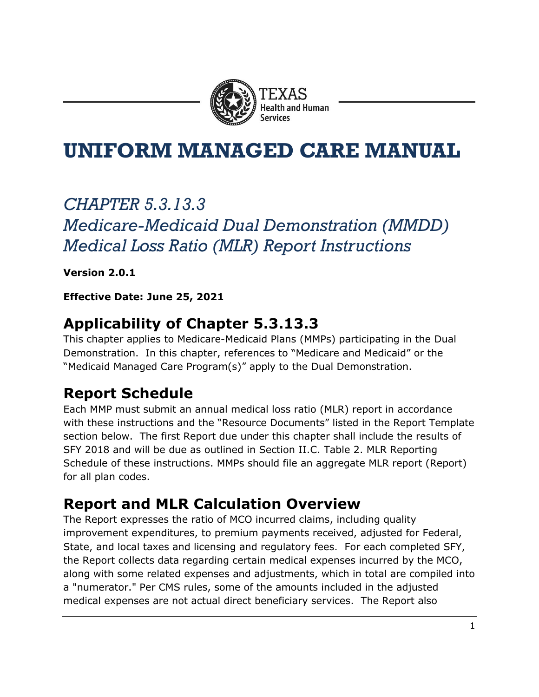

# **UNIFORM MANAGED CARE MANUAL**

# *CHAPTER 5.3.13.3 Medicare-Medicaid Dual Demonstration (MMDD) Medical Loss Ratio (MLR) Report Instructions*

**Version 2.0.1** 

**Effective Date: June 25, 2021** 

# **Applicability of Chapter 5.3.13.3**

This chapter applies to Medicare-Medicaid Plans (MMPs) participating in the Dual Demonstration. In this chapter, references to "Medicare and Medicaid" or the "Medicaid Managed Care Program(s)" apply to the Dual Demonstration.

# **Report Schedule**

Each MMP must submit an annual medical loss ratio (MLR) report in accordance with these instructions and the "Resource Documents" listed in the Report Template section below. The first Report due under this chapter shall include the results of SFY 2018 and will be due as outlined in Section II.C. Table 2. MLR Reporting Schedule of these instructions. MMPs should file an aggregate MLR report (Report) for all plan codes.

# **Report and MLR Calculation Overview**

The Report expresses the ratio of MCO incurred claims, including quality improvement expenditures, to premium payments received, adjusted for Federal, State, and local taxes and licensing and regulatory fees. For each completed SFY, the Report collects data regarding certain medical expenses incurred by the MCO, along with some related expenses and adjustments, which in total are compiled into a "numerator." Per CMS rules, some of the amounts included in the adjusted medical expenses are not actual direct beneficiary services. The Report also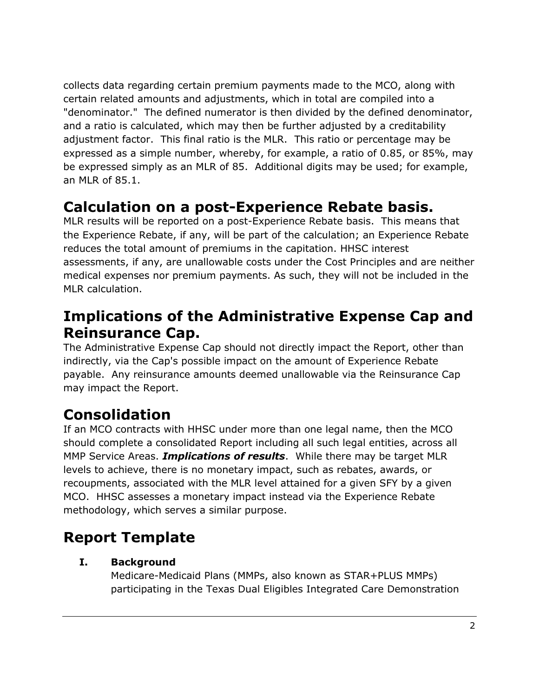collects data regarding certain premium payments made to the MCO, along with certain related amounts and adjustments, which in total are compiled into a "denominator." The defined numerator is then divided by the defined denominator, and a ratio is calculated, which may then be further adjusted by a creditability adjustment factor. This final ratio is the MLR. This ratio or percentage may be expressed as a simple number, whereby, for example, a ratio of 0.85, or 85%, may be expressed simply as an MLR of 85. Additional digits may be used; for example, an MLR of 85.1.

## **Calculation on a post-Experience Rebate basis.**

MLR results will be reported on a post-Experience Rebate basis. This means that the Experience Rebate, if any, will be part of the calculation; an Experience Rebate reduces the total amount of premiums in the capitation. HHSC interest assessments, if any, are unallowable costs under the Cost Principles and are neither medical expenses nor premium payments. As such, they will not be included in the MLR calculation.

## **Implications of the Administrative Expense Cap and Reinsurance Cap.**

The Administrative Expense Cap should not directly impact the Report, other than indirectly, via the Cap's possible impact on the amount of Experience Rebate payable. Any reinsurance amounts deemed unallowable via the Reinsurance Cap may impact the Report.

# **Consolidation**

If an MCO contracts with HHSC under more than one legal name, then the MCO should complete a consolidated Report including all such legal entities, across all MMP Service Areas. *Implications of results*. While there may be target MLR levels to achieve, there is no monetary impact, such as rebates, awards, or recoupments, associated with the MLR level attained for a given SFY by a given MCO. HHSC assesses a monetary impact instead via the Experience Rebate methodology, which serves a similar purpose.

# **Report Template**

## **I. Background**

Medicare-Medicaid Plans (MMPs, also known as STAR+PLUS MMPs) participating in the Texas Dual Eligibles Integrated Care Demonstration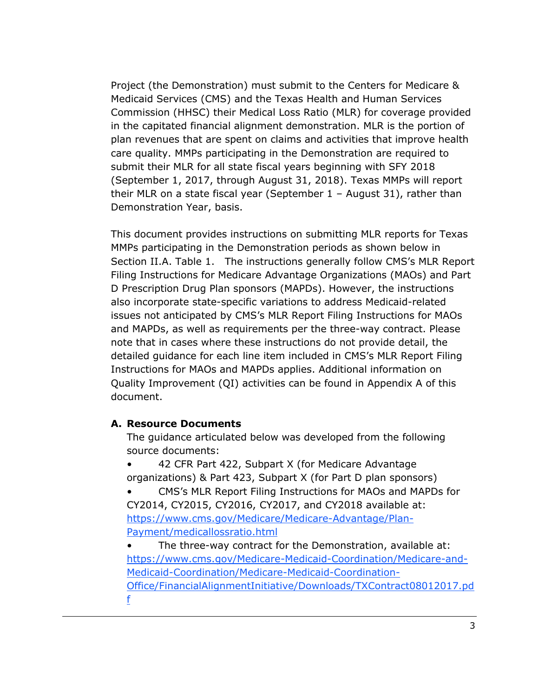Project (the Demonstration) must submit to the Centers for Medicare & Medicaid Services (CMS) and the Texas Health and Human Services Commission (HHSC) their Medical Loss Ratio (MLR) for coverage provided in the capitated financial alignment demonstration. MLR is the portion of plan revenues that are spent on claims and activities that improve health care quality. MMPs participating in the Demonstration are required to submit their MLR for all state fiscal years beginning with SFY 2018 (September 1, 2017, through August 31, 2018). Texas MMPs will report their MLR on a state fiscal year (September 1 – August 31), rather than Demonstration Year, basis.

This document provides instructions on submitting MLR reports for Texas MMPs participating in the Demonstration periods as shown below in Section II.A. Table 1. The instructions generally follow CMS's MLR Report Filing Instructions for Medicare Advantage Organizations (MAOs) and Part D Prescription Drug Plan sponsors (MAPDs). However, the instructions also incorporate state-specific variations to address Medicaid-related issues not anticipated by CMS's MLR Report Filing Instructions for MAOs and MAPDs, as well as requirements per the three-way contract. Please note that in cases where these instructions do not provide detail, the detailed guidance for each line item included in CMS's MLR Report Filing Instructions for MAOs and MAPDs applies. Additional information on Quality Improvement (QI) activities can be found in Appendix A of this document.

#### **A. Resource Documents**

The guidance articulated below was developed from the following source documents:

• 42 CFR Part 422, Subpart X (for Medicare Advantage organizations) & Part 423, Subpart X (for Part D plan sponsors)

- CMS's MLR Report Filing Instructions for MAOs and MAPDs for CY2014, CY2015, CY2016, CY2017, and CY2018 available at: [https://www.cms.gov/Medicare/Medicare-Advantage/Plan-](https://www.cms.gov/Medicare/Medicare-Advantage/Plan-Payment/medicallossratio.html)[Payment/medicallossratio.html](https://www.cms.gov/Medicare/Medicare-Advantage/Plan-Payment/medicallossratio.html)
- The three-way contract for the Demonstration, available at: [https://www.cms.gov/Medicare-Medicaid-Coordination/Medicare-and-](https://www.cms.gov/Medicare-Medicaid-Coordination/Medicare-and-Medicaid-Coordination/Medicare-Medicaid-Coordination-Office/FinancialAlignmentInitiative/Downloads/TXContract08012017.pdf)[Medicaid-Coordination/Medicare-Medicaid-Coordination-](https://www.cms.gov/Medicare-Medicaid-Coordination/Medicare-and-Medicaid-Coordination/Medicare-Medicaid-Coordination-Office/FinancialAlignmentInitiative/Downloads/TXContract08012017.pdf)[Office/FinancialAlignmentInitiative/Downloads/TXContract08012017.pd](https://www.cms.gov/Medicare-Medicaid-Coordination/Medicare-and-Medicaid-Coordination/Medicare-Medicaid-Coordination-Office/FinancialAlignmentInitiative/Downloads/TXContract08012017.pdf) [f](https://www.cms.gov/Medicare-Medicaid-Coordination/Medicare-and-Medicaid-Coordination/Medicare-Medicaid-Coordination-Office/FinancialAlignmentInitiative/Downloads/TXContract08012017.pdf)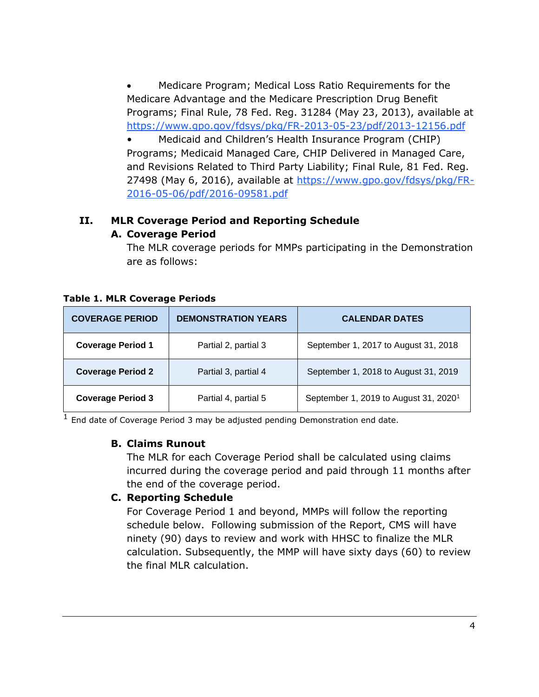• Medicare Program; Medical Loss Ratio Requirements for the Medicare Advantage and the Medicare Prescription Drug Benefit Programs; Final Rule, 78 Fed. Reg. 31284 (May 23, 2013), available at <https://www.gpo.gov/fdsys/pkg/FR-2013-05-23/pdf/2013-12156.pdf>

• Medicaid and Children's Health Insurance Program (CHIP) Programs; Medicaid Managed Care, CHIP Delivered in Managed Care, and Revisions Related to Third Party Liability; Final Rule, 81 Fed. Reg. 27498 (May 6, 2016), available at [https://www.gpo.gov/fdsys/pkg/FR-](https://www.gpo.gov/fdsys/pkg/FR-2016-05-06/pdf/2016-09581.pdf)[2016-05-06/pdf/2016-09581.pdf](https://www.gpo.gov/fdsys/pkg/FR-2016-05-06/pdf/2016-09581.pdf)

### **II. MLR Coverage Period and Reporting Schedule**

#### **A. Coverage Period**

The MLR coverage periods for MMPs participating in the Demonstration are as follows:

| <b>COVERAGE PERIOD</b>   | <b>DEMONSTRATION YEARS</b> | <b>CALENDAR DATES</b>                             |  |
|--------------------------|----------------------------|---------------------------------------------------|--|
| <b>Coverage Period 1</b> | Partial 2, partial 3       | September 1, 2017 to August 31, 2018              |  |
| <b>Coverage Period 2</b> | Partial 3, partial 4       | September 1, 2018 to August 31, 2019              |  |
| <b>Coverage Period 3</b> | Partial 4, partial 5       | September 1, 2019 to August 31, 2020 <sup>1</sup> |  |

#### **Table 1. MLR Coverage Periods**

 $\frac{1}{1}$  End date of Coverage Period 3 may be adjusted pending Demonstration end date.

#### **B. Claims Runout**

The MLR for each Coverage Period shall be calculated using claims incurred during the coverage period and paid through 11 months after the end of the coverage period.

#### **C. Reporting Schedule**

For Coverage Period 1 and beyond, MMPs will follow the reporting schedule below. Following submission of the Report, CMS will have ninety (90) days to review and work with HHSC to finalize the MLR calculation. Subsequently, the MMP will have sixty days (60) to review the final MLR calculation.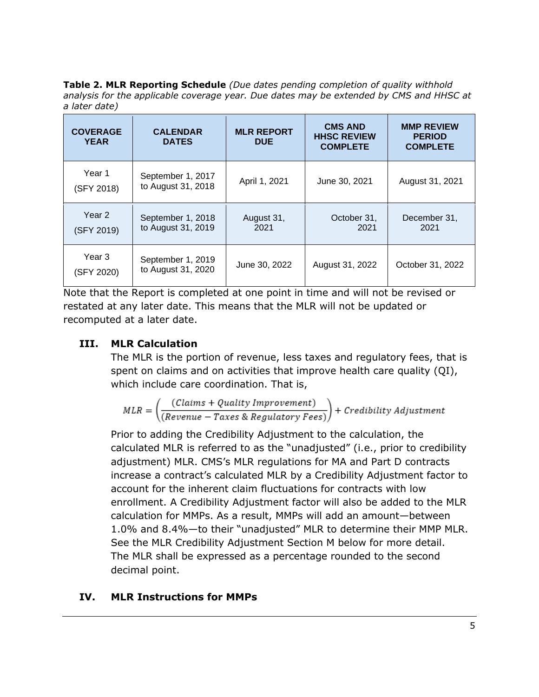**Table 2. MLR Reporting Schedule** *(Due dates pending completion of quality withhold analysis for the applicable coverage year. Due dates may be extended by CMS and HHSC at a later date)*

| <b>COVERAGE</b><br><b>YEAR</b> | <b>CALENDAR</b><br><b>DATES</b>         | <b>MLR REPORT</b><br><b>DUE</b>           | <b>CMS AND</b><br><b>HHSC REVIEW</b><br><b>COMPLETE</b> | <b>MMP REVIEW</b><br><b>PERIOD</b><br><b>COMPLETE</b> |  |
|--------------------------------|-----------------------------------------|-------------------------------------------|---------------------------------------------------------|-------------------------------------------------------|--|
| Year 1<br>(SFY 2018)           | September 1, 2017<br>to August 31, 2018 | April 1, 2021                             | June 30, 2021                                           | August 31, 2021                                       |  |
| Year 2<br>(SFY 2019)           | September 1, 2018<br>to August 31, 2019 | August 31,<br>October 31,<br>2021<br>2021 |                                                         | December 31,<br>2021                                  |  |
| Year 3<br>(SFY 2020)           | September 1, 2019<br>to August 31, 2020 | June 30, 2022                             | August 31, 2022                                         | October 31, 2022                                      |  |

Note that the Report is completed at one point in time and will not be revised or restated at any later date. This means that the MLR will not be updated or recomputed at a later date.

## **III. MLR Calculation**

The MLR is the portion of revenue, less taxes and regulatory fees, that is spent on claims and on activities that improve health care quality (QI), which include care coordination. That is,

$$
MLR = \left(\frac{(Claims + Quality\,Important)}{(Review = Taxes & Regularory\,Fees)}\right) + Credibility\,}{(Review = Taxes & Regularatory\,Fees)}
$$

Prior to adding the Credibility Adjustment to the calculation, the calculated MLR is referred to as the "unadjusted" (i.e., prior to credibility adjustment) MLR. CMS's MLR regulations for MA and Part D contracts increase a contract's calculated MLR by a Credibility Adjustment factor to account for the inherent claim fluctuations for contracts with low enrollment. A Credibility Adjustment factor will also be added to the MLR calculation for MMPs. As a result, MMPs will add an amount—between 1.0% and 8.4%—to their "unadjusted" MLR to determine their MMP MLR. See the MLR Credibility Adjustment Section M below for more detail. The MLR shall be expressed as a percentage rounded to the second decimal point.

## **IV. MLR Instructions for MMPs**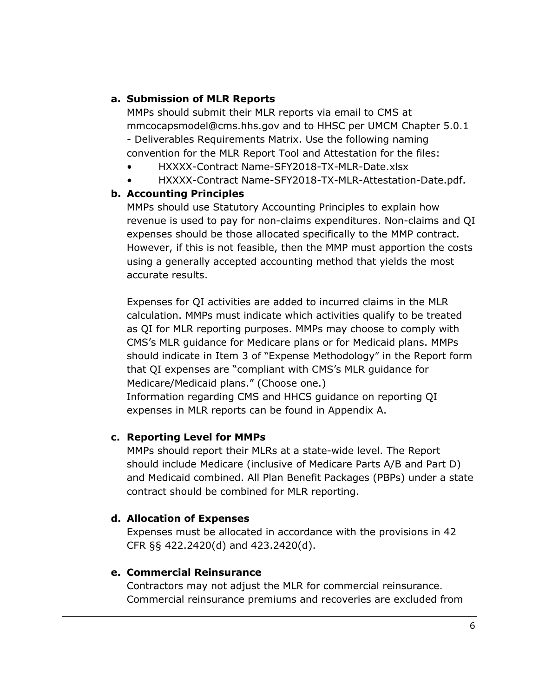### **a. Submission of MLR Reports**

MMPs should submit their MLR reports via email to CMS at mmcocapsmodel@cms.hhs.gov and to HHSC per UMCM Chapter 5.0.1 - Deliverables Requirements Matrix. Use the following naming convention for the MLR Report Tool and Attestation for the files:

- HXXXX-Contract Name-SFY2018-TX-MLR-Date.xlsx
- HXXXX-Contract Name-SFY2018-TX-MLR-Attestation-Date.pdf.

### **b. Accounting Principles**

MMPs should use Statutory Accounting Principles to explain how revenue is used to pay for non-claims expenditures. Non-claims and QI expenses should be those allocated specifically to the MMP contract. However, if this is not feasible, then the MMP must apportion the costs using a generally accepted accounting method that yields the most accurate results.

Expenses for QI activities are added to incurred claims in the MLR calculation. MMPs must indicate which activities qualify to be treated as QI for MLR reporting purposes. MMPs may choose to comply with CMS's MLR guidance for Medicare plans or for Medicaid plans. MMPs should indicate in Item 3 of "Expense Methodology" in the Report form that QI expenses are "compliant with CMS's MLR guidance for Medicare/Medicaid plans." (Choose one.) Information regarding CMS and HHCS guidance on reporting QI expenses in MLR reports can be found in Appendix A.

#### **c. Reporting Level for MMPs**

MMPs should report their MLRs at a state-wide level. The Report should include Medicare (inclusive of Medicare Parts A/B and Part D) and Medicaid combined. All Plan Benefit Packages (PBPs) under a state contract should be combined for MLR reporting.

## **d. Allocation of Expenses**

Expenses must be allocated in accordance with the provisions in 42 CFR §§ 422.2420(d) and 423.2420(d).

#### **e. Commercial Reinsurance**

Contractors may not adjust the MLR for commercial reinsurance. Commercial reinsurance premiums and recoveries are excluded from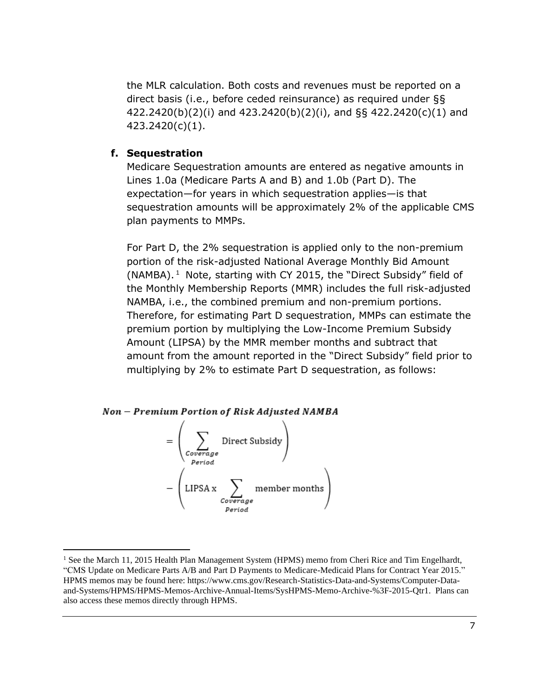the MLR calculation. Both costs and revenues must be reported on a direct basis (i.e., before ceded reinsurance) as required under §§ 422.2420(b)(2)(i) and 423.2420(b)(2)(i), and §§ 422.2420(c)(1) and 423.2420(c)(1).

#### **f. Sequestration**

Medicare Sequestration amounts are entered as negative amounts in Lines 1.0a (Medicare Parts A and B) and 1.0b (Part D). The expectation—for years in which sequestration applies—is that sequestration amounts will be approximately 2% of the applicable CMS plan payments to MMPs.

For Part D, the 2% sequestration is applied only to the non-premium portion of the risk-adjusted National Average Monthly Bid Amount (NAMBA). <sup>1</sup> Note, starting with CY 2015, the "Direct Subsidy" field of the Monthly Membership Reports (MMR) includes the full risk-adjusted NAMBA, i.e., the combined premium and non-premium portions. Therefore, for estimating Part D sequestration, MMPs can estimate the premium portion by multiplying the Low-Income Premium Subsidy Amount (LIPSA) by the MMR member months and subtract that amount from the amount reported in the "Direct Subsidy" field prior to multiplying by 2% to estimate Part D sequestration, as follows:

#### Non - Premium Portion of Risk Adjusted NAMBA



<sup>&</sup>lt;sup>1</sup> See the March 11, 2015 Health Plan Management System (HPMS) memo from Cheri Rice and Tim Engelhardt, "CMS Update on Medicare Parts A/B and Part D Payments to Medicare-Medicaid Plans for Contract Year 2015." HPMS memos may be found here: https://www.cms.gov/Research-Statistics-Data-and-Systems/Computer-Dataand-Systems/HPMS/HPMS-Memos-Archive-Annual-Items/SysHPMS-Memo-Archive-%3F-2015-Qtr1. Plans can also access these memos directly through HPMS.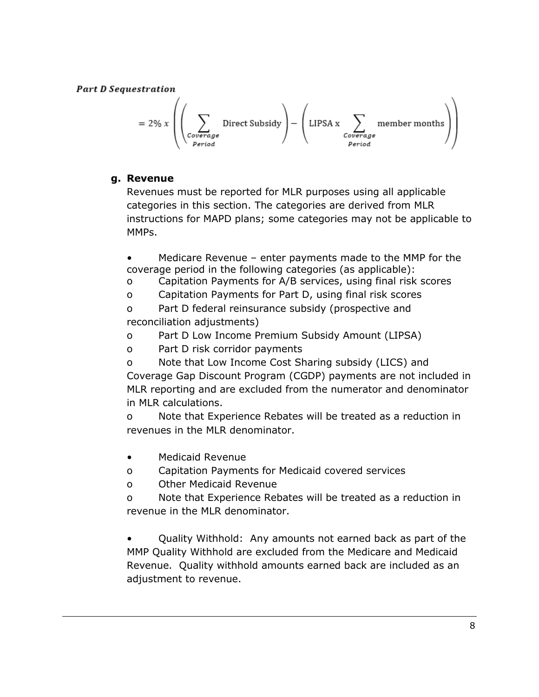**Part D Sequestration** 

$$
= 2\% x \left( \left( \sum_{\substack{Coversage\\Period}} \text{Direct Subsidy} \right) - \left( \text{LIPSA x} \sum_{\substack{Coversage\\Period}} \text{member months} \right) \right)
$$

## **g. Revenue**

Revenues must be reported for MLR purposes using all applicable categories in this section. The categories are derived from MLR instructions for MAPD plans; some categories may not be applicable to MMPs.

Medicare Revenue – enter payments made to the MMP for the coverage period in the following categories (as applicable):

- o Capitation Payments for A/B services, using final risk scores
- o Capitation Payments for Part D, using final risk scores

o Part D federal reinsurance subsidy (prospective and reconciliation adjustments)

- o Part D Low Income Premium Subsidy Amount (LIPSA)
- o Part D risk corridor payments
- o Note that Low Income Cost Sharing subsidy (LICS) and Coverage Gap Discount Program (CGDP) payments are not included in MLR reporting and are excluded from the numerator and denominator in MLR calculations.

o Note that Experience Rebates will be treated as a reduction in revenues in the MLR denominator.

- Medicaid Revenue
- o Capitation Payments for Medicaid covered services
- o Other Medicaid Revenue

o Note that Experience Rebates will be treated as a reduction in revenue in the MLR denominator.

• Quality Withhold: Any amounts not earned back as part of the MMP Quality Withhold are excluded from the Medicare and Medicaid Revenue. Quality withhold amounts earned back are included as an adjustment to revenue.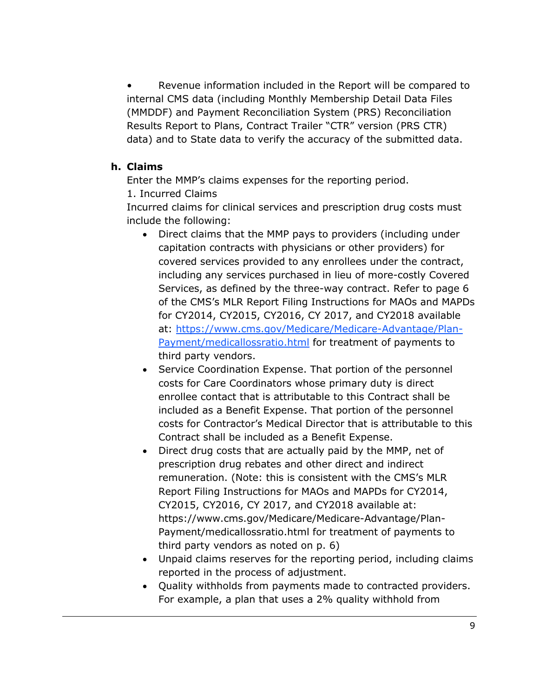Revenue information included in the Report will be compared to internal CMS data (including Monthly Membership Detail Data Files (MMDDF) and Payment Reconciliation System (PRS) Reconciliation Results Report to Plans, Contract Trailer "CTR" version (PRS CTR) data) and to State data to verify the accuracy of the submitted data.

### **h. Claims**

Enter the MMP's claims expenses for the reporting period.

1. Incurred Claims

Incurred claims for clinical services and prescription drug costs must include the following:

- Direct claims that the MMP pays to providers (including under capitation contracts with physicians or other providers) for covered services provided to any enrollees under the contract, including any services purchased in lieu of more-costly Covered Services, as defined by the three-way contract. Refer to page 6 of the CMS's MLR Report Filing Instructions for MAOs and MAPDs for CY2014, CY2015, CY2016, CY 2017, and CY2018 available at: [https://www.cms.gov/Medicare/Medicare-Advantage/Plan-](https://www.cms.gov/Medicare/Medicare-Advantage/Plan-Payment/medicallossratio.html)[Payment/medicallossratio.html](https://www.cms.gov/Medicare/Medicare-Advantage/Plan-Payment/medicallossratio.html) for treatment of payments to third party vendors.
- Service Coordination Expense. That portion of the personnel costs for Care Coordinators whose primary duty is direct enrollee contact that is attributable to this Contract shall be included as a Benefit Expense. That portion of the personnel costs for Contractor's Medical Director that is attributable to this Contract shall be included as a Benefit Expense.
- Direct drug costs that are actually paid by the MMP, net of prescription drug rebates and other direct and indirect remuneration. (Note: this is consistent with the CMS's MLR Report Filing Instructions for MAOs and MAPDs for CY2014, CY2015, CY2016, CY 2017, and CY2018 available at: https://www.cms.gov/Medicare/Medicare-Advantage/Plan-Payment/medicallossratio.html for treatment of payments to third party vendors as noted on p. 6)
- Unpaid claims reserves for the reporting period, including claims reported in the process of adjustment.
- Quality withholds from payments made to contracted providers. For example, a plan that uses a 2% quality withhold from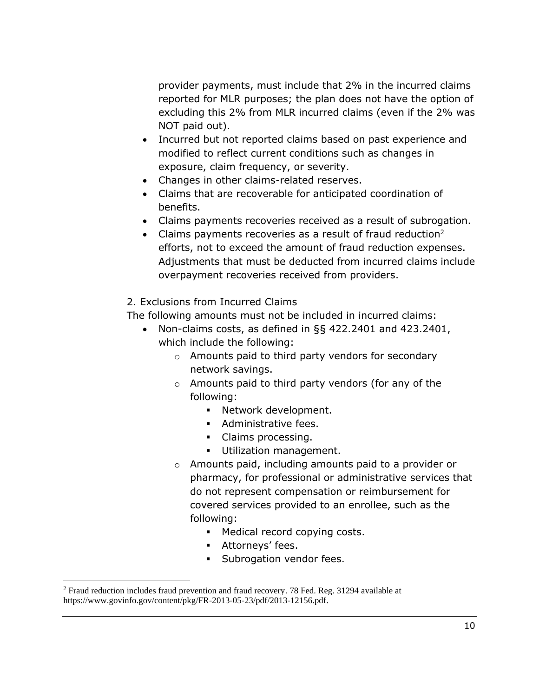provider payments, must include that 2% in the incurred claims reported for MLR purposes; the plan does not have the option of excluding this 2% from MLR incurred claims (even if the 2% was NOT paid out).

- Incurred but not reported claims based on past experience and modified to reflect current conditions such as changes in exposure, claim frequency, or severity.
- Changes in other claims-related reserves.
- Claims that are recoverable for anticipated coordination of benefits.
- Claims payments recoveries received as a result of subrogation.
- Claims payments recoveries as a result of fraud reduction<sup>2</sup> efforts, not to exceed the amount of fraud reduction expenses. Adjustments that must be deducted from incurred claims include overpayment recoveries received from providers.

### 2. Exclusions from Incurred Claims

The following amounts must not be included in incurred claims:

- Non-claims costs, as defined in §§ 422.2401 and 423.2401, which include the following:
	- o Amounts paid to third party vendors for secondary network savings.
	- o Amounts paid to third party vendors (for any of the following:
		- Network development.
		- Administrative fees.
		- Claims processing.
		- **·** Utilization management.
	- o Amounts paid, including amounts paid to a provider or pharmacy, for professional or administrative services that do not represent compensation or reimbursement for covered services provided to an enrollee, such as the following:
		- **■** Medical record copying costs.
		- **EXECUTE:** Attorneys' fees.
		- Subrogation vendor fees.

<sup>&</sup>lt;sup>2</sup> Fraud reduction includes fraud prevention and fraud recovery. 78 Fed. Reg. 31294 available at https://www.govinfo.gov/content/pkg/FR-2013-05-23/pdf/2013-12156.pdf.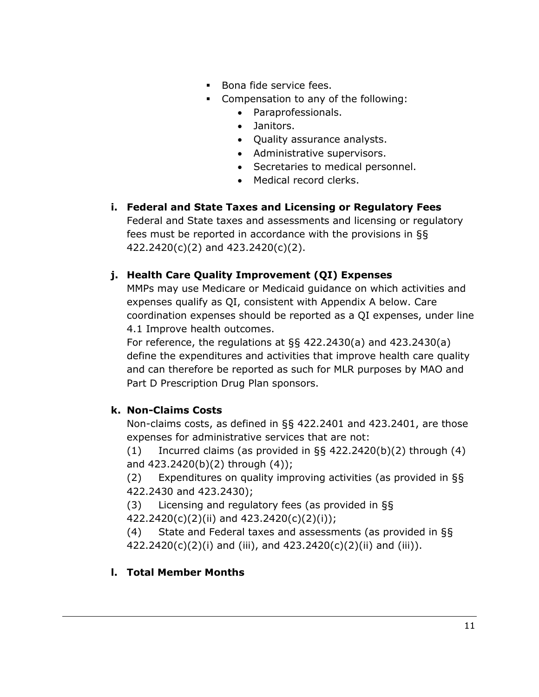- Bona fide service fees.
- Compensation to any of the following:
	- Paraprofessionals.
	- Janitors.
	- Quality assurance analysts.
	- Administrative supervisors.
	- Secretaries to medical personnel.
	- Medical record clerks.
- **i. Federal and State Taxes and Licensing or Regulatory Fees** Federal and State taxes and assessments and licensing or regulatory fees must be reported in accordance with the provisions in §§ 422.2420(c)(2) and 423.2420(c)(2).

## **j. Health Care Quality Improvement (QI) Expenses**

MMPs may use Medicare or Medicaid guidance on which activities and expenses qualify as QI, consistent with Appendix A below. Care coordination expenses should be reported as a QI expenses, under line 4.1 Improve health outcomes.

For reference, the regulations at §§ 422.2430(a) and 423.2430(a) define the expenditures and activities that improve health care quality and can therefore be reported as such for MLR purposes by MAO and Part D Prescription Drug Plan sponsors.

## **k. Non-Claims Costs**

Non-claims costs, as defined in §§ 422.2401 and 423.2401, are those expenses for administrative services that are not:

 $(1)$  Incurred claims (as provided in §§ 422.2420(b)(2) through (4) and 423.2420(b)(2) through (4));

(2) Expenditures on quality improving activities (as provided in §§ 422.2430 and 423.2430);

(3) Licensing and regulatory fees (as provided in §§ 422.2420(c)(2)(ii) and 423.2420(c)(2)(i));

(4) State and Federal taxes and assessments (as provided in §§  $422.2420(c)(2)(i)$  and (iii), and  $423.2420(c)(2)(ii)$  and (iii)).

## **l. Total Member Months**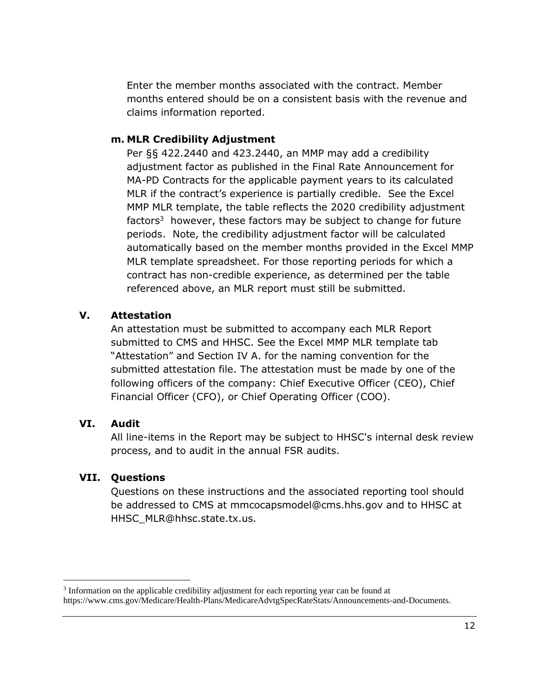Enter the member months associated with the contract. Member months entered should be on a consistent basis with the revenue and claims information reported.

#### **m. MLR Credibility Adjustment**

Per §§ 422.2440 and 423.2440, an MMP may add a credibility adjustment factor as published in the Final Rate Announcement for MA-PD Contracts for the applicable payment years to its calculated MLR if the contract's experience is partially credible. See the Excel MMP MLR template, the table reflects the 2020 credibility adjustment factors<sup>3</sup> however, these factors may be subject to change for future periods. Note, the credibility adjustment factor will be calculated automatically based on the member months provided in the Excel MMP MLR template spreadsheet. For those reporting periods for which a contract has non-credible experience, as determined per the table referenced above, an MLR report must still be submitted.

## **V. Attestation**

An attestation must be submitted to accompany each MLR Report submitted to CMS and HHSC. See the Excel MMP MLR template tab "Attestation" and Section IV A. for the naming convention for the submitted attestation file. The attestation must be made by one of the following officers of the company: Chief Executive Officer (CEO), Chief Financial Officer (CFO), or Chief Operating Officer (COO).

#### **VI. Audit**

All line-items in the Report may be subject to HHSC's internal desk review process, and to audit in the annual FSR audits.

## **VII. Questions**

Questions on these instructions and the associated reporting tool should be addressed to CMS at mmcocapsmodel@cms.hhs.gov and to HHSC at HHSC\_MLR@hhsc.state.tx.us.

<sup>&</sup>lt;sup>3</sup> Information on the applicable credibility adjustment for each reporting year can be found at https://www.cms.gov/Medicare/Health-Plans/MedicareAdvtgSpecRateStats/Announcements-and-Documents.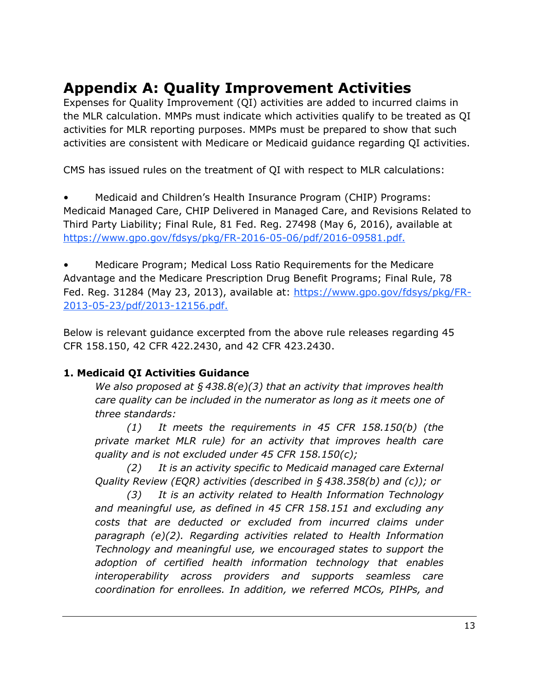# **Appendix A: Quality Improvement Activities**

Expenses for Quality Improvement (QI) activities are added to incurred claims in the MLR calculation. MMPs must indicate which activities qualify to be treated as QI activities for MLR reporting purposes. MMPs must be prepared to show that such activities are consistent with Medicare or Medicaid guidance regarding QI activities.

CMS has issued rules on the treatment of QI with respect to MLR calculations:

• Medicaid and Children's Health Insurance Program (CHIP) Programs: Medicaid Managed Care, CHIP Delivered in Managed Care, and Revisions Related to Third Party Liability; Final Rule, 81 Fed. Reg. 27498 (May 6, 2016), available at [https://www.gpo.gov/fdsys/pkg/FR-2016-05-06/pdf/2016-09581.pdf.](https://www.gpo.gov/fdsys/pkg/FR-2016-05-06/pdf/2016-09581.pdf)

• Medicare Program; Medical Loss Ratio Requirements for the Medicare Advantage and the Medicare Prescription Drug Benefit Programs; Final Rule, 78 Fed. Reg. 31284 (May 23, 2013), available at: [https://www.gpo.gov/fdsys/pkg/FR-](https://www.gpo.gov/fdsys/pkg/FR-2013-05-23/pdf/2013-12156.pdf)[2013-05-23/pdf/2013-12156.pdf.](https://www.gpo.gov/fdsys/pkg/FR-2013-05-23/pdf/2013-12156.pdf)

Below is relevant guidance excerpted from the above rule releases regarding 45 CFR 158.150, 42 CFR 422.2430, and 42 CFR 423.2430.

## **1. Medicaid QI Activities Guidance**

*We also proposed at § 438.8(e)(3) that an activity that improves health care quality can be included in the numerator as long as it meets one of three standards:* 

*(1) It meets the requirements in 45 CFR 158.150(b) (the private market MLR rule) for an activity that improves health care quality and is not excluded under 45 CFR 158.150(c);*

*(2) It is an activity specific to Medicaid managed care External Quality Review (EQR) activities (described in § 438.358(b) and (c)); or* 

*(3) It is an activity related to Health Information Technology and meaningful use, as defined in 45 CFR 158.151 and excluding any costs that are deducted or excluded from incurred claims under paragraph (e)(2). Regarding activities related to Health Information Technology and meaningful use, we encouraged states to support the adoption of certified health information technology that enables interoperability across providers and supports seamless care coordination for enrollees. In addition, we referred MCOs, PIHPs, and*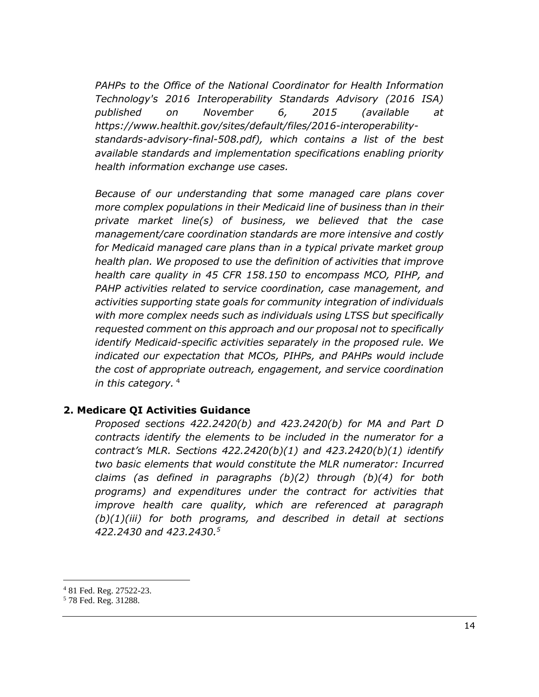*PAHPs to the Office of the National Coordinator for Health Information Technology's 2016 Interoperability Standards Advisory (2016 ISA) published on November 6, 2015 (available at https://www.healthit.gov/sites/default/files/2016-interoperabilitystandards-advisory-final-508.pdf), which contains a list of the best available standards and implementation specifications enabling priority health information exchange use cases.*

*Because of our understanding that some managed care plans cover more complex populations in their Medicaid line of business than in their private market line(s) of business, we believed that the case management/care coordination standards are more intensive and costly for Medicaid managed care plans than in a typical private market group health plan. We proposed to use the definition of activities that improve health care quality in 45 CFR 158.150 to encompass MCO, PIHP, and PAHP activities related to service coordination, case management, and activities supporting state goals for community integration of individuals with more complex needs such as individuals using LTSS but specifically requested comment on this approach and our proposal not to specifically identify Medicaid-specific activities separately in the proposed rule. We indicated our expectation that MCOs, PIHPs, and PAHPs would include the cost of appropriate outreach, engagement, and service coordination in this category.* <sup>4</sup>

#### **2. Medicare QI Activities Guidance**

*Proposed sections 422.2420(b) and 423.2420(b) for MA and Part D contracts identify the elements to be included in the numerator for a contract's MLR. Sections 422.2420(b)(1) and 423.2420(b)(1) identify two basic elements that would constitute the MLR numerator: Incurred claims (as defined in paragraphs (b)(2) through (b)(4) for both programs) and expenditures under the contract for activities that improve health care quality, which are referenced at paragraph (b)(1)(iii) for both programs, and described in detail at sections 422.2430 and 423.2430.<sup>5</sup>*

<sup>4</sup> 81 Fed. Reg. 27522-23.

<sup>5</sup> 78 Fed. Reg. 31288.